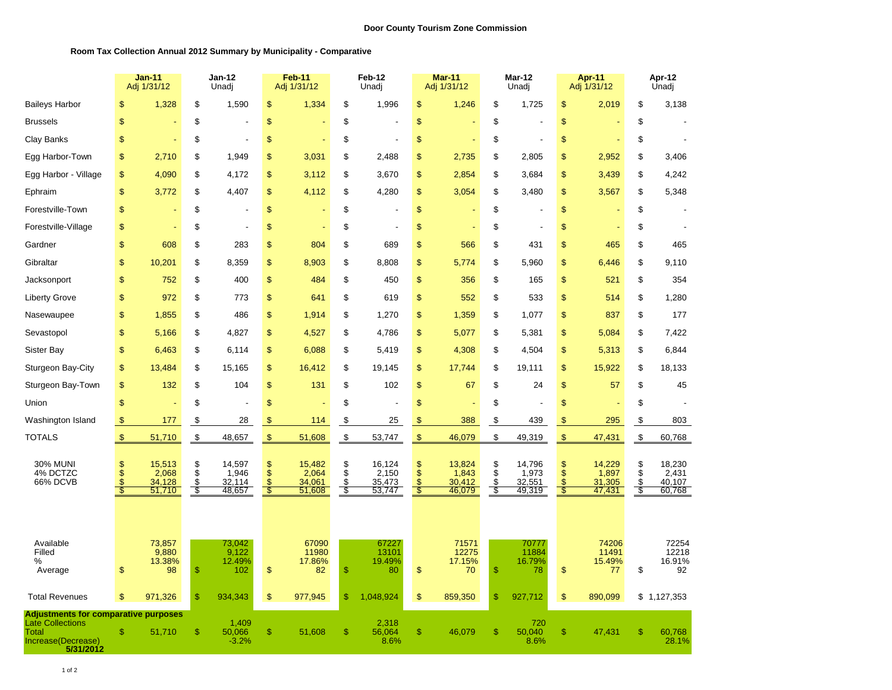## **Room Tax Collection Annual 2012 Summary by Municipality - Comparative**

|                                                                                                                    | <b>Jan-11</b><br>Adj 1/31/12 |                                     | <b>Jan-12</b><br>Unadj       |                                     | Feb-11<br>Adj 1/31/12                      |                                     | Feb-12<br>Unadj             |                                     | <b>Mar-11</b><br>Adj 1/31/12               |                                     | Mar-12<br>Unadj              |                                     | Apr-11<br>Adj 1/31/12         |                                     | Apr-12<br>Unadj               |                                     |
|--------------------------------------------------------------------------------------------------------------------|------------------------------|-------------------------------------|------------------------------|-------------------------------------|--------------------------------------------|-------------------------------------|-----------------------------|-------------------------------------|--------------------------------------------|-------------------------------------|------------------------------|-------------------------------------|-------------------------------|-------------------------------------|-------------------------------|-------------------------------------|
| <b>Baileys Harbor</b>                                                                                              | \$                           | 1,328                               | \$                           | 1,590                               | \$                                         | 1,334                               | \$                          | 1,996                               | \$                                         | 1,246                               | \$                           | 1,725                               | \$                            | 2,019                               | \$                            | 3,138                               |
| <b>Brussels</b>                                                                                                    | \$                           |                                     | \$                           |                                     | \$                                         |                                     | \$                          |                                     | \$                                         |                                     | \$                           |                                     | \$                            |                                     | \$                            |                                     |
| Clay Banks                                                                                                         | \$                           |                                     | \$                           |                                     | \$                                         |                                     | \$                          |                                     | \$                                         | ٠                                   | \$                           | $\overline{a}$                      | \$                            |                                     | \$                            |                                     |
| Egg Harbor-Town                                                                                                    | \$                           | 2,710                               | \$                           | 1,949                               | \$                                         | 3,031                               | \$                          | 2,488                               | \$                                         | 2,735                               | \$                           | 2,805                               | \$                            | 2,952                               | \$                            | 3,406                               |
| Egg Harbor - Village                                                                                               | \$                           | 4,090                               | \$                           | 4,172                               | \$                                         | 3,112                               | \$                          | 3,670                               | \$                                         | 2,854                               | \$                           | 3,684                               | \$                            | 3,439                               | \$                            | 4,242                               |
| Ephraim                                                                                                            | \$                           | 3,772                               | \$                           | 4,407                               | \$                                         | 4,112                               | \$                          | 4,280                               | \$                                         | 3,054                               | \$                           | 3,480                               | \$                            | 3,567                               | \$                            | 5,348                               |
| Forestville-Town                                                                                                   | \$                           |                                     | \$                           |                                     | \$                                         |                                     | \$                          |                                     | \$                                         |                                     | \$                           |                                     | $\sqrt{3}$                    |                                     | \$                            |                                     |
| Forestville-Village                                                                                                | \$                           |                                     | \$                           |                                     | \$                                         |                                     | \$                          |                                     | \$                                         |                                     | \$                           |                                     | \$                            |                                     | \$                            |                                     |
| Gardner                                                                                                            | \$                           | 608                                 | \$                           | 283                                 | \$                                         | 804                                 | \$                          | 689                                 | \$                                         | 566                                 | \$                           | 431                                 | \$                            | 465                                 | \$                            | 465                                 |
| Gibraltar                                                                                                          | \$                           | 10,201                              | \$                           | 8,359                               | \$                                         | 8,903                               | \$                          | 8,808                               | \$                                         | 5,774                               | \$                           | 5,960                               | $\sqrt{3}$                    | 6,446                               | \$                            | 9,110                               |
| Jacksonport                                                                                                        | \$                           | 752                                 | \$                           | 400                                 | \$                                         | 484                                 | \$                          | 450                                 | \$                                         | 356                                 | \$                           | 165                                 | \$                            | 521                                 | \$                            | 354                                 |
| <b>Liberty Grove</b>                                                                                               | \$                           | 972                                 | \$                           | 773                                 | \$                                         | 641                                 | \$                          | 619                                 | \$                                         | 552                                 | \$                           | 533                                 | $\sqrt{3}$                    | 514                                 | \$                            | 1,280                               |
| Nasewaupee                                                                                                         | \$                           | 1,855                               | \$                           | 486                                 | \$                                         | 1,914                               | \$                          | 1,270                               | \$                                         | 1,359                               | \$                           | 1,077                               | $\mathsf{\$}$                 | 837                                 | \$                            | 177                                 |
| Sevastopol                                                                                                         | \$                           | 5,166                               | \$                           | 4,827                               | \$                                         | 4,527                               | \$                          | 4,786                               | \$                                         | 5,077                               | \$                           | 5,381                               | $\sqrt{3}$                    | 5,084                               | \$                            | 7,422                               |
| Sister Bay                                                                                                         | \$                           | 6,463                               | \$                           | 6,114                               | \$                                         | 6,088                               | \$                          | 5,419                               | \$                                         | 4,308                               | \$                           | 4,504                               | $\sqrt[6]{\frac{1}{2}}$       | 5,313                               | \$                            | 6,844                               |
| Sturgeon Bay-City                                                                                                  | \$                           | 13,484                              | \$                           | 15,165                              | \$                                         | 16,412                              | \$                          | 19,145                              | \$                                         | 17,744                              | \$                           | 19,111                              | \$                            | 15,922                              | \$                            | 18,133                              |
| Sturgeon Bay-Town                                                                                                  | \$                           | 132                                 | \$                           | 104                                 | \$                                         | 131                                 | \$                          | 102                                 | \$                                         | 67                                  | \$                           | 24                                  | \$                            | 57                                  | \$                            | 45                                  |
| Union                                                                                                              | \$                           |                                     | \$                           |                                     | \$                                         |                                     | \$                          |                                     | \$                                         |                                     | \$                           |                                     | \$                            |                                     | \$                            |                                     |
| Washington Island                                                                                                  | $\sqrt[6]{3}$                | <u>177</u>                          | $\frac{1}{2}$                | <u>28</u>                           | $\mathbb{S}$                               | 114                                 | $\$\$                       | 25                                  | $\sqrt{3}$                                 | 388                                 | \$                           | 439                                 | $\sqrt{3}$                    | 295                                 | \$                            | 803                                 |
| <b>TOTALS</b>                                                                                                      | $\mathfrak{F}$               | 51,710                              | $\boldsymbol{\mathfrak{s}}$  | 48,657                              | $\sqrt{3}$                                 | 51,608                              | $\boldsymbol{\mathfrak{s}}$ | 53,747                              | $\mathfrak{F}$                             | 46,079                              | \$                           | 49,319                              | $\sqrt{3}$                    | 47,431                              | $\mathfrak{F}$                | 60,768                              |
| <b>30% MUNI</b><br>4% DCTZC<br>66% DCVB                                                                            | \$\$<br>-\$                  | 15,513<br>2,068<br>34,128<br>51,710 | \$<br>$\ddot{s}$<br>\$<br>\$ | 14,597<br>1,946<br>32,114<br>48,657 | \$<br>$\overline{\mathbb{S}}$<br>\$<br>- इ | 15,482<br>2,064<br>34,061<br>51,608 | \$<br>$\ddot{\$}$<br>\$     | 16,124<br>2,150<br>35,473<br>53,747 | \$<br>\$<br>\$<br>$\overline{\mathcal{S}}$ | 13,824<br>1,843<br>30,412<br>46,079 | \$<br>$\ddot{s}$<br>\$<br>\$ | 14,796<br>1,973<br>32,551<br>49,319 | \$<br>\$<br>$\sqrt{3}$<br>-\$ | 14,229<br>1,897<br>31,305<br>47,431 | \$<br>\$<br>$\ddot{\$}$<br>\$ | 18,230<br>2,431<br>40,107<br>60,768 |
| Available<br>Filled<br>%<br>Average                                                                                | \$                           | 73,857<br>9,880<br>13.38%<br>98     | \$                           | 73,042<br>9,122<br>12.49%<br>102    | \$                                         | 67090<br>11980<br>17.86%<br>82      | $\frac{1}{2}$               | 67227<br>13101<br>19.49%<br>80      | \$                                         | 71571<br>12275<br>17.15%<br>70      | $\mathbb{S}$                 | 70777<br>11884<br>16.79%<br>78      | $\sqrt[6]{\frac{1}{2}}$       | 74206<br>11491<br>15.49%<br>77      | \$                            | 72254<br>12218<br>16.91%<br>92      |
| <b>Total Revenues</b>                                                                                              | \$                           | 971,326                             | \$                           | 934,343                             | \$                                         | 977,945                             | $\frac{1}{2}$               | 1,048,924                           | \$                                         | 859,350                             | \$                           | 927,712                             | \$                            | 890,099                             |                               | \$1,127,353                         |
| <b>Adjustments for comparative purposes</b><br><b>Late Collections</b><br>Total<br>Increase(Decrease)<br>5/31/2012 | \$                           | 51,710                              | \$                           | 1,409<br>50,066<br>$-3.2%$          | \$                                         | 51,608                              | $\frac{1}{2}$               | 2,318<br>56,064<br>8.6%             | \$                                         | 46,079                              | \$                           | 720<br>50,040<br>8.6%               | \$                            | 47,431                              | \$                            | 60,768<br>28.1%                     |